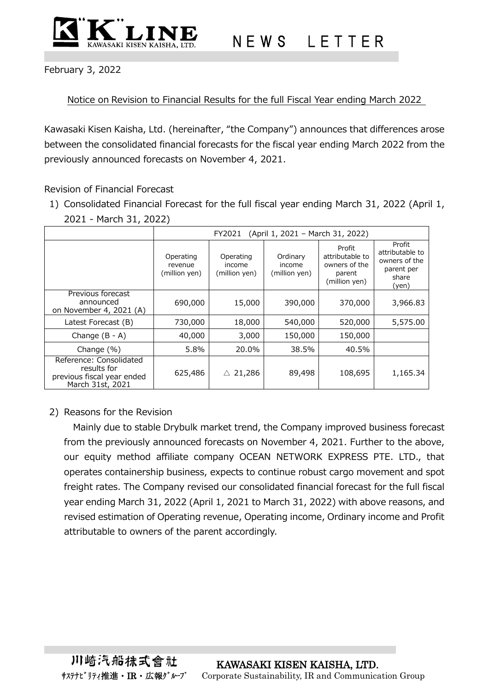

## N E W S L E T T E R

February 3, 2022

Notice on Revision to Financial Results for the full Fiscal Year ending March 2022

Kawasaki Kisen Kaisha, Ltd. (hereinafter, "the Company") announces that differences arose between the consolidated financial forecasts for the fiscal year ending March 2022 from the previously announced forecasts on November 4, 2021.

Revision of Financial Forecast

1) Consolidated Financial Forecast for the full fiscal year ending March 31, 2022 (April 1, 2021 - March 31, 2022)

|                                                                                          | (April 1, 2021 - March 31, 2022)<br>FY2021 |                                      |                                     |                                                                       |                                                                            |
|------------------------------------------------------------------------------------------|--------------------------------------------|--------------------------------------|-------------------------------------|-----------------------------------------------------------------------|----------------------------------------------------------------------------|
|                                                                                          | Operating<br>revenue<br>(million yen)      | Operating<br>income<br>(million yen) | Ordinary<br>income<br>(million yen) | Profit<br>attributable to<br>owners of the<br>parent<br>(million yen) | Profit<br>attributable to<br>owners of the<br>parent per<br>share<br>(yen) |
| Previous forecast<br>announced<br>on November 4, 2021 (A)                                | 690,000                                    | 15,000                               | 390,000                             | 370,000                                                               | 3,966.83                                                                   |
| Latest Forecast (B)                                                                      | 730,000                                    | 18,000                               | 540,000                             | 520,000                                                               | 5,575.00                                                                   |
| Change $(B - A)$                                                                         | 40,000                                     | 3,000                                | 150,000                             | 150,000                                                               |                                                                            |
| Change $(\%)$                                                                            | 5.8%                                       | 20.0%                                | 38.5%                               | 40.5%                                                                 |                                                                            |
| Reference: Consolidated<br>results for<br>previous fiscal year ended<br>March 31st, 2021 | 625,486                                    | $\triangle$ 21,286                   | 89,498                              | 108,695                                                               | 1,165.34                                                                   |

## 2) Reasons for the Revision

Mainly due to stable Drybulk market trend, the Company improved business forecast from the previously announced forecasts on November 4, 2021. Further to the above, our equity method affiliate company OCEAN NETWORK EXPRESS PTE. LTD., that operates containership business, expects to continue robust cargo movement and spot freight rates. The Company revised our consolidated financial forecast for the full fiscal year ending March 31, 2022 (April 1, 2021 to March 31, 2022) with above reasons, and revised estimation of Operating revenue, Operating income, Ordinary income and Profit attributable to owners of the parent accordingly.

川崎汽船抹式會社 KAWASAKI KISEN KAISHA, LTD. サステナビリティ推進・IR・広報ゲループ Corporate Sustainability, IR and Communication Group